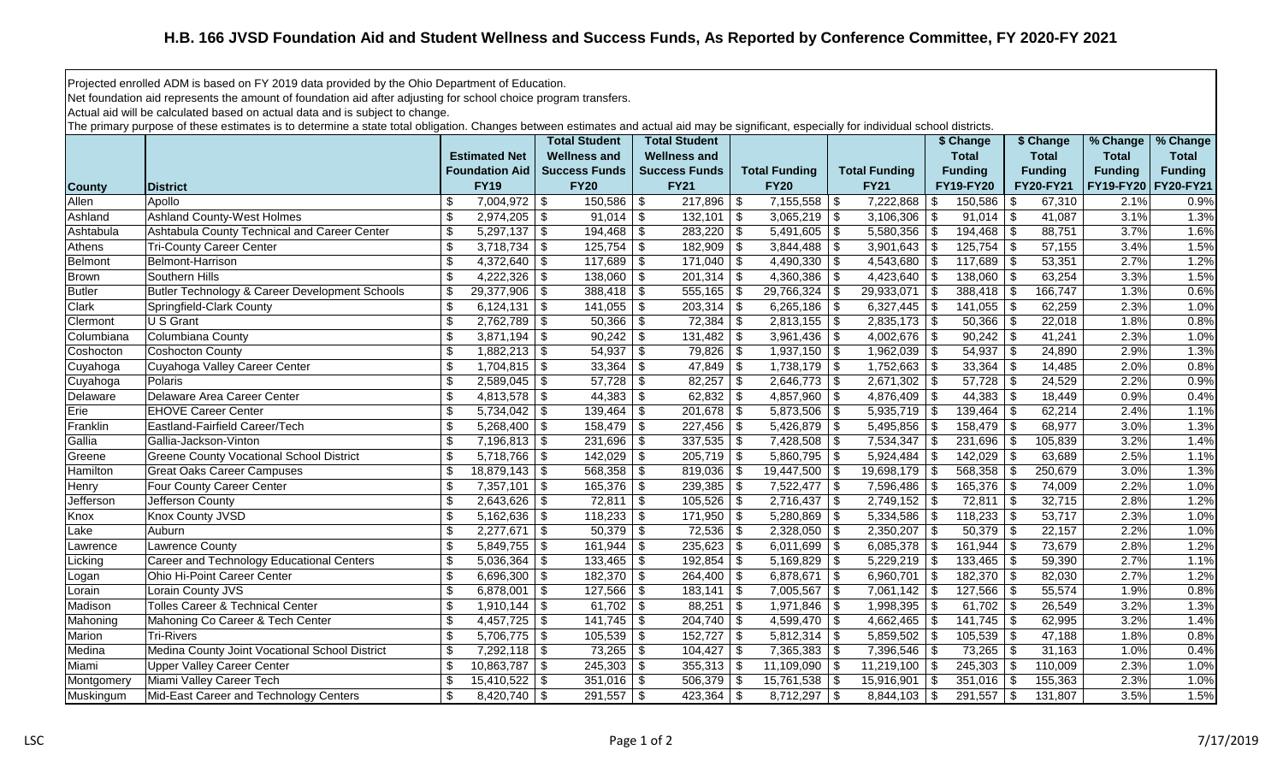Projected enrolled ADM is based on FY 2019 data provided by the Ohio Department of Education.

Net foundation aid represents the amount of foundation aid after adjusting for school choice program transfers.

Actual aid will be calculated based on actual data and is subject to change.

The primary purpose of these estimates is to determine a state total obligation. Changes between estimates and actual aid may be significant, especially for individual school districts.

|               |                                                 |                                             | <b>Total Student</b> | <b>Total Student</b>       |                              |                                 | \$ Change             | \$ Change            | % Change       | % Change         |
|---------------|-------------------------------------------------|---------------------------------------------|----------------------|----------------------------|------------------------------|---------------------------------|-----------------------|----------------------|----------------|------------------|
|               |                                                 | <b>Estimated Net</b>                        | <b>Wellness and</b>  | <b>Wellness and</b>        |                              |                                 | <b>Total</b>          | <b>Total</b>         | <b>Total</b>   | <b>Total</b>     |
|               |                                                 | <b>Foundation Aid</b>                       | <b>Success Funds</b> | <b>Success Funds</b>       | <b>Total Funding</b>         | <b>Total Funding</b>            | <b>Funding</b>        | <b>Funding</b>       | <b>Funding</b> | <b>Funding</b>   |
| <b>County</b> | <b>IDistrict</b>                                | <b>FY19</b>                                 | <b>FY20</b>          | <b>FY21</b>                | <b>FY20</b>                  | <b>FY21</b>                     | FY19-FY20             | FY20-FY21            | FY19-FY20      | <b>FY20-FY21</b> |
| Allen         | Apollo                                          | $7,004,972$ \$                              | $150,586$ \\$        | $217,896$ \$               | $7,155,558$ \$               | 7,222,868                       | 150,586<br>  \$       | 67,310               | 2.1%           | 0.9%             |
| Ashland       | <b>Ashland County-West Holmes</b>               | $2,974,205$ \$<br>\$                        | $91,014$ \$          | $132,101$ \$               | $3,065,219$ \$               | $3,106,306$ \$                  | 91,014                | \$<br>41,087         | 3.1%           | 1.3%             |
| Ashtabula     | Ashtabula County Technical and Career Center    | $5,297,137$ \$<br>\$                        | $194,468$ \ \$       | $283,220$ \ \$             | $5,491,605$ \$               | $5,580,356$ \$                  |                       | 88,751               | 3.7%           | 1.6%             |
| Athens        | <b>Tri-County Career Center</b>                 | $\sqrt[6]{\frac{1}{2}}$<br>$3,718,734$ \$   | $125,754$ \\$        | $182,909$ \$               |                              | $3,901,643$ \$                  |                       | 57,155               | 3.4%           | 1.5%             |
| Belmont       | Belmont-Harrison                                | \$<br>$4,372,640$ \$                        | $117,689$ \$         | $171,040$ \$               | $4,490,330$ \$               | $4,543,680$ \$                  | $117,689$ \$          | 53,351               | 2.7%           | 1.2%             |
| <b>Brown</b>  | Southern Hills                                  | \$<br>$4,222,326$ \$                        | $138,060$ \$         |                            | 4,360,386                    | l \$<br>4,423,640 $\frac{1}{9}$ | $138,060$ \$          | 63,254               | 3.3%           | 1.5%             |
| <b>Butler</b> | Butler Technology & Career Development Schools  | \$<br>$29,377,906$ \$                       |                      | $555,165$ \$               | 29,766,324                   | 29,933,071<br>l \$              | $388,418$ \$<br>  \$  | 166,747              | 1.3%           | 0.6%             |
| Clark         | Springfield-Clark County                        | \$<br>$6,124,131$ \$                        | $141,055$ \$         | $203,314$ \$               | 6,265,186                    | $6,327,445$ \$<br>$\vert$ \$    | 141,055               | 62,259<br>-\$        | 2.3%           | 1.0%             |
| Clermont      | U S Grant                                       | \$<br>$2,762,789$ \$                        | $50,366$ \$          | $72,384$ \$                | $2,813,155$ \$               | $2,835,173$ \$                  | 50,366                | 22,018<br>-\$        | 1.8%           | 0.8%             |
| Columbiana    | Columbiana County                               | \$<br>3,871,194                             | $90,242$ \$<br>\$    | $131,482$ \$               | $3,961,436$ \$               | $4,002,676$ \$                  | $90,242$ \$           | 41,241               | 2.3%           | 1.0%             |
| Coshocton     | Coshocton County                                | \$<br>$1,882,213$ \$                        | 54,937               | $79,826$ \$<br>$\vert$ \$  | $1,937,150$ \$               | $1,962,039$ \$                  | 54,937                | 24,890<br>-\$        | 2.9%           | 1.3%             |
| Cuyahoga      | Cuyahoga Valley Career Center                   | \$<br>$1,704,815$ \$                        |                      | $47,849$ \$                | $1,738,179$ \$               | $1,752,663$ \$                  | 33,364                | -\$<br>14,485        | 2.0%           | 0.8%             |
| Cuyahoga      | Polaris                                         | \$<br>$2,589,045$ \$                        |                      | $82,257$ \$                | $2,646,773$ \$               | $2,671,302$ \$                  | $57,728$ \$           | 24,529               | 2.2%           | 0.9%             |
| Delaware      | Delaware Area Career Center                     | $\mathfrak{F}$                              | $44,383$ \$          | $62,832$ \$                | $4,857,960$ \$               | $4,876,409$ \$                  | 44,383                | -\$<br>18,449        | 0.9%           | 0.4%             |
| Erie          | <b>EHOVE Career Center</b>                      | $\sqrt[6]{\frac{1}{2}}$<br>$5,734,042$ \\$  | $139,464$ \ \$       |                            | $5,873,506$ \\$              | $5,935,719$ \$                  | 139,464               | -\$<br>62,214        | 2.4%           | 1.1%             |
| Franklin      | Eastland-Fairfield Career/Tech                  | $\sqrt[6]{\frac{1}{2}}$<br>$5,268,400$ \ \$ | $158,479$ \$         | $227,456$ \$               | $5,426,879$ \\$              | $5,495,856$ \$                  | 158,479               | 68,977<br>-\$        | 3.0%           | 1.3%             |
| Gallia        | Gallia-Jackson-Vinton                           | \$<br>$7,196,813$ \$                        | $231,696$ \$         | $337,535$ \$               | $7,428,508$ \ \ \$           | $7,534,347$ \$                  | 231,696               | -\$<br>105,839       | 3.2%           | 1.4%             |
| Greene        | <b>Greene County Vocational School District</b> | \$<br>$5,718,766$ \$                        | 142,029              | $\sqrt{3}$<br>$205,719$ \$ | $5,860,795$ \$               | 5,924,484                       | 142,029<br>  \$       | 63,689<br>-\$        | 2.5%           | 1.1%             |
| Hamilton      | <b>Great Oaks Career Campuses</b>               | \$<br>$18,879,143$ \$                       | $568,358$ \ \ \$     | $819,036$ \$               | $\overline{19,447,500}$   \$ | $19,698,179$ \$                 | 568,358               | -\$<br>250,679       | 3.0%           | 1.3%             |
| Henry         | Four County Career Center                       | $7,357,101$ \$<br>\$                        | $165,376$ \$         | $239,385$ \$               | $7,522,477$ \\$              | 7,596,486   \$                  | 165,376               | l \$<br>74,009       | 2.2%           | 1.0%             |
| Jefferson     | Jefferson County                                | \$<br>$2,643,626$ \$                        | 72,811               | \$<br>$105,526$ \$         | $2,716,437$ \$               | $2,749,152$ \$                  | 72,811                | 32,715<br>$\vert$ \$ | 2.8%           | 1.2%             |
| Knox          | <b>Knox County JVSD</b>                         | \$<br>$5,162,636$ \$                        | $118,233$ \$         | $171,950$ \$               | 5,280,869                    | $\sqrt{3}$<br>$5,334,586$ \$    | $118,233$ \$          | 53,717               | 2.3%           | 1.0%             |
| Lake          | Auburn                                          | \$<br>$2,277,671$ \$                        | $50,379$ \\$         | $72,536$ \ \$              | $2,328,050$ \$               | $2,350,207$ \$                  | $50,379$ \\$          | 22,157               | 2.2%           | 1.0%             |
| Lawrence      | <b>Lawrence County</b>                          | \$<br>$5,849,755$ \$                        | $161,944$ \$         | $235,623$ \$               | 6,011,699                    | $\sqrt{3}$<br>6,085,378         | 161,944<br><b>\$</b>  | -\$<br>73,679        | 2.8%           | 1.2%             |
| Licking       | Career and Technology Educational Centers       | \$<br>$5,036,364$ \$                        | 133,465              | \$<br>$192,854$ \ \$       | 5,169,829                    | $\vert$ \$<br>$5,229,219$ \$    | 133,465               | -\$<br>59,390        | 2.7%           | 1.1%             |
| Logan         | Ohio Hi-Point Career Center                     | $\boldsymbol{\mathsf{S}}$<br>$6,696,300$ \$ | $182,370$ \$         | $264,400$ \ \$             | 6,878,671   \$               | 6,960,701                       | $182,370$ \$<br>  \$  | 82,030               | 2.7%           | 1.2%             |
| Lorain        | Lorain County JVS                               | \$<br>6,878,001 $\vert$ \$                  | $127,566$ \ \$       | $183,141$ \$               | 7,005,567                    | l \$<br>$7,061,142$ \$          | 127,566               | -\$<br>55,574        | 1.9%           | 0.8%             |
| Madison       | <b>Tolles Career &amp; Technical Center</b>     | $\sqrt[3]{2}$<br>$1,910,144$ \$             | $61,702$ \$          | $88,251$ \ \$              | 1,971,846                    | <b>S</b><br>1,998,395           | $61,702$ \$<br>  \$   | 26,549               | 3.2%           | 1.3%             |
| Mahoning      | Mahoning Co Career & Tech Center                | $\sqrt[6]{\frac{1}{2}}$<br>$4,457,725$ \$   | $141,745$ \ \$       | $204,740$ \\$              | 4,599,470 $\frac{1}{9}$      | $4,662,465$ \$                  | 141,745               | 62,995<br>-\$        | 3.2%           | 1.4%             |
| Marion        | <b>Tri-Rivers</b>                               | \$<br>$\overline{5,706,775}$ \ \$           | $105,539$ \$         | $152,727$ \$               | $5,812,314$ \$               | $5,859,502$ \$                  | 105,539               | 47,188<br>l \$       | 1.8%           | 0.8%             |
| Medina        | Medina County Joint Vocational School District  | $\sqrt[6]{\frac{1}{2}}$<br>$7,292,118$ \$   |                      | $104,427$ \$               | $7,365,383$ \ \$             | $7,396,546$ \$                  | 73,265                | 31,163<br>-\$        | 1.0%           | 0.4%             |
| Miami         | <b>Upper Valley Career Center</b>               | \$<br>$10,863,787$ \$                       | $245,303$ \$         | $355,313$ \$               | 11,109,090                   | 11,219,100<br>5                 | 245,303<br>$\sqrt{3}$ | 110,009<br>\$        | 2.3%           | 1.0%             |
| Montgomery    | Miami Valley Career Tech                        | \$<br>$15,410,522$ \\$                      | $351,016$ \\$        | $506,379$ \$               | $15,761,538$ \\$             | 15,916,901                      | 351,016<br>  \$       | 155,363<br>-\$       | 2.3%           | 1.0%             |
| Muskingum     | Mid-East Career and Technology Centers          | \$<br>$8,420,740$ \ \$                      | $291,557$ \\$        |                            | $8,712,297$ \$               | $8,844,103$ \$                  | $291,557$ \\$         | 131,807              | 3.5%           | 1.5%             |